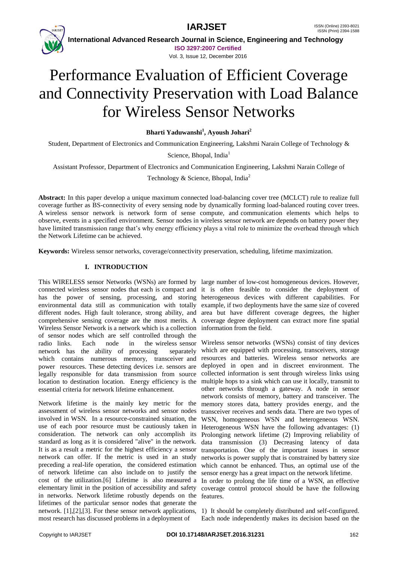

 **International Advanced Research Journal in Science, Engineering and Technology ISO 3297:2007 Certified**

Vol. 3, Issue 12, December 2016

# Performance Evaluation of Efficient Coverage and Connectivity Preservation with Load Balance for Wireless Sensor Networks

**Bharti Yaduwanshi<sup>1</sup> , Ayoush Johari<sup>2</sup>**

Student, Department of Electronics and Communication Engineering, Lakshmi Narain College of Technology &

Science, Bhopal, India<sup>1</sup>

Assistant Professor, Department of Electronics and Communication Engineering, Lakshmi Narain College of

Technology & Science, Bhopal, India<sup>2</sup>

**Abstract:** In this paper develop a unique maximum connected load-balancing cover tree (MCLCT) rule to realize full coverage further as BS-connectivity of every sensing node by dynamically forming load-balanced routing cover trees. A wireless sensor network is network form of sense compute, and communication elements which helps to observe, events in a specified environment. Sensor nodes in wireless sensor network are depends on battery power they have limited transmission range that's why energy efficiency plays a vital role to minimize the overhead through which the Network Lifetime can be achieved.

**Keywords:** Wireless sensor networks, coverage/connectivity preservation, scheduling, lifetime maximization.

## **I. INTRODUCTION**

This WIRELESS sensor Networks (WSNs) are formed by large number of low-cost homogeneous devices. However, connected wireless sensor nodes that each is compact and it is often feasible to consider the deployment of has the power of sensing, processing, and storing heterogeneous devices with different capabilities. For environmental data still as communication with totally example, if two deployments have the same size of covered different nodes. High fault tolerance, strong ability, and area but have different coverage degrees, the higher comprehensive sensing coverage are the most merits. A coverage degree deployment can extract more fine spatial Wireless Sensor Network is a network which is a collection information from the field. of sensor nodes which are self controlled through the radio links. Each node in the wireless sensor network has the ability of processing separately which contains numerous memory, transceiver and power resources. These detecting devices i.e. sensors are legally responsible for data transmission from source location to destination location. Energy efficiency is the essential criteria for network lifetime enhancement.

Network lifetime is the mainly key metric for the assessment of wireless sensor networks and sensor nodes involved in WSN. In a resource-constrained situation, the use of each poor resource must be cautiously taken in consideration. The network can only accomplish its standard as long as it is considered "alive" in the network. It is as a result a metric for the highest efficiency a sensor network can offer. If the metric is used in an study preceding a real-life operation, the considered estimation of network lifetime can also include on to justify the cost of the utilization.[6] Lifetime is also measured a In order to prolong the life time of a WSN, an effective elementary limit in the position of accessibility and safety in networks. Network lifetime robustly depends on the features. lifetimes of the particular sensor nodes that generate the network. [1],[2],[3]. For these sensor network applications, 1) It should be completely distributed and self-configured. most research has discussed problems in a deployment of

Wireless sensor networks (WSNs) consist of tiny devices which are equipped with processing, transceivers, storage resources and batteries. Wireless sensor networks are deployed in open and in discreet environment. The collected information is sent through wireless links using multiple hops to a sink which can use it locally, transmit to other networks through a gateway. A node in sensor network consists of memory, battery and transceiver. The memory stores data, battery provides energy, and the transceiver receives and sends data. There are two types of WSN, homogeneous WSN and heterogeneous WSN. Heterogeneous WSN have the following advantages: (1) Prolonging network lifetime (2) Improving reliability of data transmission (3) Decreasing latency of data transportation. One of the important issues in sensor networks is power supply that is constrained by battery size which cannot be enhanced. Thus, an optimal use of the sensor energy has a great impact on the network lifetime. coverage control protocol should be have the following

Each node independently makes its decision based on the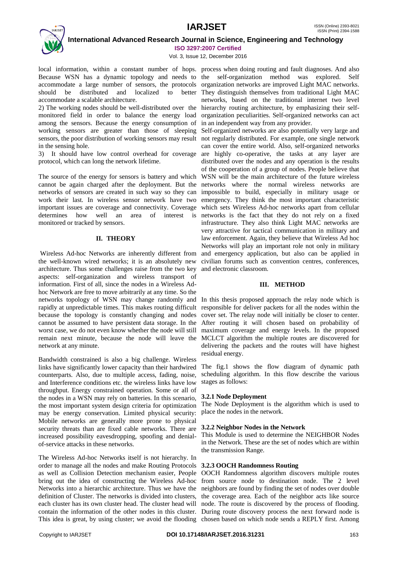## **IARJSET** ISSN (Online) 2393-8021



 **International Advanced Research Journal in Science, Engineering and Technology ISO 3297:2007 Certified**

Vol. 3, Issue 12, December 2016

local information, within a constant number of hops. process when doing routing and fault diagnoses. And also Because WSN has a dynamic topology and needs to the self-organization method was explored. Self accommodate a large number of sensors, the protocols organization networks are improved Light MAC networks. should be distributed and localized to better They distinguish themselves from traditional Light MAC accommodate a scalable architecture.

2) The working nodes should be well-distributed over the hierarchy routing architecture, by emphasizing their selfmonitored field in order to balance the energy load among the sensors. Because the energy consumption of working sensors are greater than those of sleeping sensors, the poor distribution of working sensors may result in the sensing hole.

3) It should have low control overhead for coverage protocol, which can long the network lifetime.

The source of the energy for sensors is battery and which cannot be again charged after the deployment. But the networks of sensors are created in such way so they can work their last. In wireless sensor network have two important issues are coverage and connectivity. Coverage determines how well an area of interest is networks is the fact that they do not rely on a fixed monitored or tracked by sensors.

## **II. THEORY**

Wireless Ad-hoc Networks are inherently different from the well-known wired networks; it is an absolutely new architecture. Thus some challenges raise from the two key aspects: self-organization and wireless transport of information. First of all, since the nodes in a Wireless Adhoc Network are free to move arbitrarily at any time. So the networks topology of WSN may change randomly and In this thesis proposed approach the relay node which is rapidly at unpredictable times. This makes routing difficult because the topology is constantly changing and nodes cannot be assumed to have persistent data storage. In the After routing it will chosen based on probability of worst case, we do not even know whether the node will still remain next minute, because the node will leave the MCLCT algorithm the multiple routes are discovered for network at any minute.

Bandwidth constrained is also a big challenge. Wireless links have significantly lower capacity than their hardwired counterparts. Also, due to multiple access, fading, noise, and Interference conditions etc. the wireless links have low throughput. Energy constrained operation. Some or all of the nodes in a WSN may rely on batteries. In this scenario, the most important system design criteria for optimization may be energy conservation. Limited physical security: Mobile networks are generally more prone to physical security threats than are fixed cable networks. There are increased possibility eavesdropping, spoofing and denialof-service attacks in these networks.

The Wireless Ad-hoc Networks itself is not hierarchy. In order to manage all the nodes and make Routing Protocols **3.2.3 OOCH Randomness Routing** as well as Collision Detection mechanism easier, People OOCH Randomness algorithm discovers multiple routes bring out the idea of constructing the Wireless Ad-hoc from source node to destination node. The 2 level Networks into a hierarchic architecture. Thus we have the neighbors are found by finding the set of nodes over double definition of Cluster. The networks is divided into clusters, the coverage area. Each of the neighbor acts like source each cluster has its own cluster head. The cluster head will node. The route is discovered by the process of flooding. contain the information of the other nodes in this cluster. During route discovery process the next forward node is

networks, based on the traditional internet two level organization peculiarities. Self-organized networks can act in an independent way from any provider.

Self-organized networks are also potentially very large and not regularly distributed. For example, one single network can cover the entire world. Also, self-organized networks are highly co-operative, the tasks at any layer are distributed over the nodes and any operation is the results of the cooperation of a group of nodes. People believe that WSN will be the main architecture of the future wireless networks where the normal wireless networks are impossible to build, especially in military usage or emergency. They think the most important characteristic which sets Wireless Ad-hoc networks apart from cellular infrastructure. They also think Light MAC networks are very attractive for tactical communication in military and law enforcement. Again, they believe that Wireless Ad hoc Networks will play an important role not only in military and emergency application, but also can be applied in civilian forums such as convention centres, conferences, and electronic classroom.

## **III. METHOD**

responsible for deliver packets for all the nodes within the cover set. The relay node will initially be closer to center. maximum coverage and energy levels. In the proposed delivering the packets and the routes will have highest residual energy.

The fig.1 shows the flow diagram of dynamic path scheduling algorithm. In this flow describe the various stages as follows:

## **3.2.1 Node Deployment**

The Node Deployment is the algorithm which is used to place the nodes in the network.

## **3.2.2 Neighbor Nodes in the Network**

This Module is used to determine the NEIGHBOR Nodes in the Network. These are the set of nodes which are within the transmission Range.

This idea is great, by using cluster; we avoid the flooding chosen based on which node sends a REPLY first. Among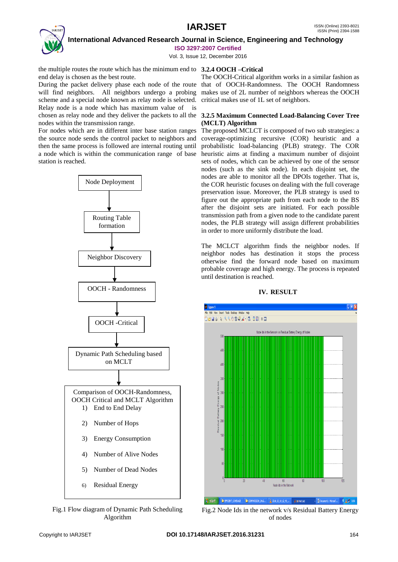## **IARJSET** ISSN (Online) 2393-8021



 **International Advanced Research Journal in Science, Engineering and Technology ISO 3297:2007 Certified**

Vol. 3, Issue 12, December 2016

the multiple routes the route which has the minimum end to **3.2.4 OOCH –Critical** end delay is chosen as the best route.

During the packet delivery phase each node of the route that of OOCH-Randomness. The OOCH Randomness will find neighbors. All neighbors undergo a probing makes use of 2L number of neighbors whereas the OOCH scheme and a special node known as relay node is selected. critical makes use of 1L set of neighbors. Relay node is a node which has maximum value of is chosen as relay node and they deliver the packets to all the **3.2.5 Maximum Connected Load-Balancing Cover Tree**  nodes within the transmission range.

For nodes which are in different inter base station ranges the source node sends the control packet to neighbors and then the same process is followed are internal routing until a node which is within the communication range of base station is reached.



Fig.1 Flow diagram of Dynamic Path Scheduling Algorithm

The OOCH-Critical algorithm works in a similar fashion as

# **(MCLT) Algorithm**

The proposed MCLCT is composed of two sub strategies: a coverage-optimizing recursive (COR) heuristic and a probabilistic load-balancing (PLB) strategy. The COR heuristic aims at finding a maximum number of disjoint sets of nodes, which can be achieved by one of the sensor nodes (such as the sink node). In each disjoint set, the nodes are able to monitor all the DPOIs together. That is, the COR heuristic focuses on dealing with the full coverage preservation issue. Moreover, the PLB strategy is used to figure out the appropriate path from each node to the BS after the disjoint sets are initiated. For each possible transmission path from a given node to the candidate parent nodes, the PLB strategy will assign different probabilities in order to more uniformly distribute the load.

The MCLCT algorithm finds the neighbor nodes. If neighbor nodes has destination it stops the process otherwise find the forward node based on maximum probable coverage and high energy. The process is repeated until destination is reached.



## **IV. RESULT**

Fig.2 Node Ids in the network v/s Residual Battery Energy of nodes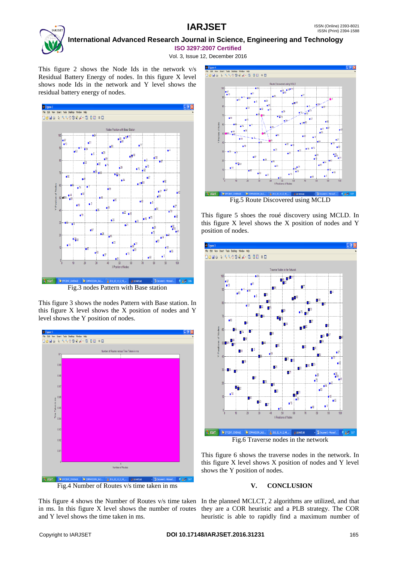

 **International Advanced Research Journal in Science, Engineering and Technology ISO 3297:2007 Certified**

Vol. 3, Issue 12, December 2016

This figure 2 shows the Node Ids in the network v/s Residual Battery Energy of nodes. In this figure X level shows node Ids in the network and Y level shows the residual battery energy of nodes.



Fig.3 nodes Pattern with Base station

This figure 3 shows the nodes Pattern with Base station. In this figure X level shows the X position of nodes and Y level shows the Y position of nodes.



Fig.4 Number of Routes v/s time taken in ms

This figure 4 shows the Number of Routes v/s time taken In the planned MCLCT, 2 algorithms are utilized, and that in ms. In this figure X level shows the number of routes they are a COR heuristic and a PLB strategy. The COR and Y level shows the time taken in ms.



Fig.5 Route Discovered using MCLD

This figure 5 shoes the roué discovery using MCLD. In this figure X level shows the X position of nodes and Y position of nodes.



This figure 6 shows the traverse nodes in the network. In this figure X level shows X position of nodes and Y level shows the Y position of nodes.

## **V. CONCLUSION**

heuristic is able to rapidly find a maximum number of